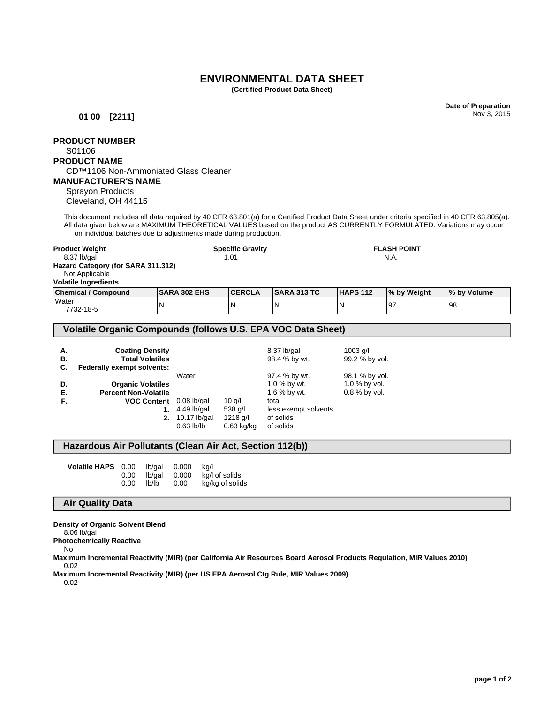## **ENVIRONMENTAL DATA SHEET**

**(Certified Product Data Sheet)**

**Date of Preparation** Nov 3, 2015

**FLASH POINT** N.A.

**01 00 [2211]**

# **PRODUCT NUMBER**

S01106

## **PRODUCT NAME**

## CD™1106 Non-Ammoniated Glass Cleaner

## **MANUFACTURER'S NAME**

Sprayon Products Cleveland, OH 44115

This document includes all data required by 40 CFR 63.801(a) for a Certified Product Data Sheet under criteria specified in 40 CFR 63.805(a). All data given below are MAXIMUM THEORETICAL VALUES based on the product AS CURRENTLY FORMULATED. Variations may occur on individual batches due to adjustments made during production.

| <b>Product Weight</b>              |
|------------------------------------|
| 8.37 lb/gal                        |
| Hazard Category (for SARA 311.312) |
| Not Applicable                     |
| <b>Volatile Ingredients</b>        |

| <b>Chemical / Compound</b> | <b>ISARA 302 EHS</b> | <b>ICERCLA</b> | <b>ISARA 313 TC</b> | <b>HAPS 112</b> | I% by Weight | <b>1% by Volume</b> |
|----------------------------|----------------------|----------------|---------------------|-----------------|--------------|---------------------|
| Water<br>7732-18-5         | N                    | N              |                     |                 | I9.          | 98                  |

#### **Volatile Organic Compounds (follows U.S. EPA VOC Data Sheet)**

| А.<br>В.<br>C. | <b>Coating Density</b><br><b>Total Volatiles</b><br>Federally exempt solvents: |               |              | 8.37 lb/gal<br>98.4 % by wt. | $1003$ g/l<br>99.2 % by vol. |
|----------------|--------------------------------------------------------------------------------|---------------|--------------|------------------------------|------------------------------|
|                |                                                                                | Water         |              | 97.4 % by wt.                | 98.1 % by vol.               |
| D.             | <b>Organic Volatiles</b>                                                       |               |              | 1.0 % by wt.                 | 1.0 % by vol.                |
| Е.             | <b>Percent Non-Volatile</b>                                                    |               |              | 1.6 % by wt.                 | 0.8 % by vol.                |
| F.             | VOC Content 0.08 lb/gal                                                        |               | 10q/l        | total                        |                              |
|                |                                                                                | $4.49$ lb/gal | 538 $q/l$    | less exempt solvents         |                              |
|                | 2.                                                                             | 10.17 lb/gal  | 1218 g/l     | of solids                    |                              |
|                |                                                                                | $0.63$ lb/lb  | $0.63$ kg/kg | of solids                    |                              |

**Specific Gravity** 1.01

#### **Hazardous Air Pollutants (Clean Air Act, Section 112(b))**

| Volatile HAPS 0.00 |          | lb/ɑal | 0.000 | ka/l            |
|--------------------|----------|--------|-------|-----------------|
|                    | $0.00\,$ | lb/ɑal | 0.000 | kg/l of solids  |
|                    | 0.00     | lb/lb  | 0.00  | kg/kg of solids |

#### **Air Quality Data**

**Density of Organic Solvent Blend**

8.06 lb/gal

**Photochemically Reactive**

No

**Maximum Incremental Reactivity (MIR) (per California Air Resources Board Aerosol Products Regulation, MIR Values 2010)** 0.02

**Maximum Incremental Reactivity (MIR) (per US EPA Aerosol Ctg Rule, MIR Values 2009)**

0.02